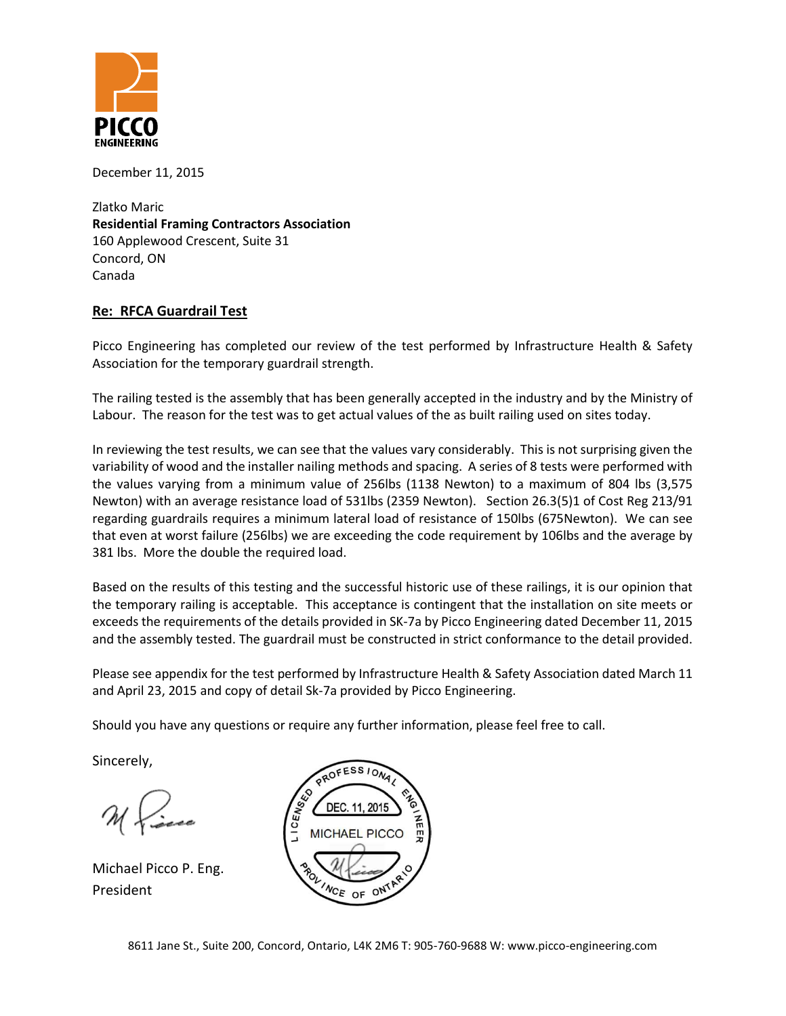

December 11, 2015

Zlatko Maric **Residential Framing Contractors Association** 160 Applewood Crescent, Suite 31 Concord, ON Canada

## **Re: RFCA Guardrail Test**

Picco Engineering has completed our review of the test performed by Infrastructure Health & Safety Association for the temporary guardrail strength.

The railing tested is the assembly that has been generally accepted in the industry and by the Ministry of Labour. The reason for the test was to get actual values of the as built railing used on sites today.

In reviewing the test results, we can see that the values vary considerably. This is not surprising given the variability of wood and the installer nailing methods and spacing. A series of 8 tests were performed with the values varying from a minimum value of 256lbs (1138 Newton) to a maximum of 804 lbs (3,575 Newton) with an average resistance load of 531lbs (2359 Newton). Section 26.3(5)1 of Cost Reg 213/91 regarding guardrails requires a minimum lateral load of resistance of 150lbs (675Newton). We can see that even at worst failure (256lbs) we are exceeding the code requirement by 106lbs and the average by 381 lbs. More the double the required load.

Based on the results of this testing and the successful historic use of these railings, it is our opinion that the temporary railing is acceptable. This acceptance is contingent that the installation on site meets or exceeds the requirements of the details provided in SK-7a by Picco Engineering dated December 11, 2015 and the assembly tested. The guardrail must be constructed in strict conformance to the detail provided.

Please see appendix for the test performed by Infrastructure Health & Safety Association dated March 11 and April 23, 2015 and copy of detail Sk-7a provided by Picco Engineering.

Should you have any questions or require any further information, please feel free to call.

Sincerely,

Michael Picco P. Eng. President

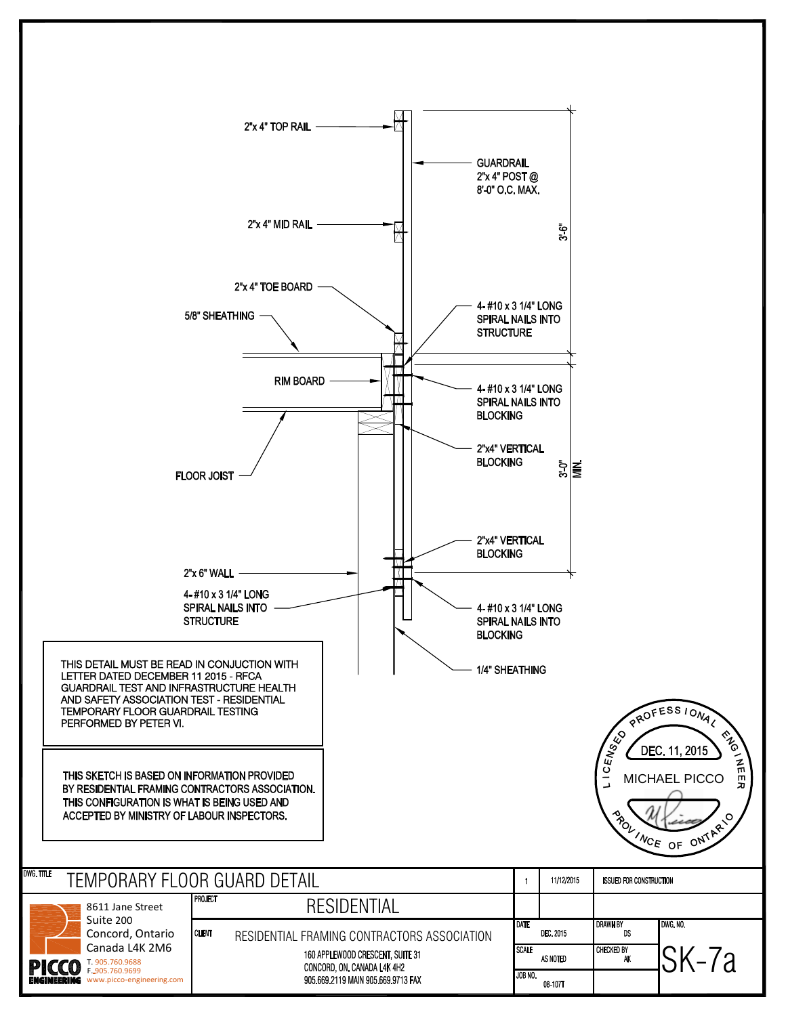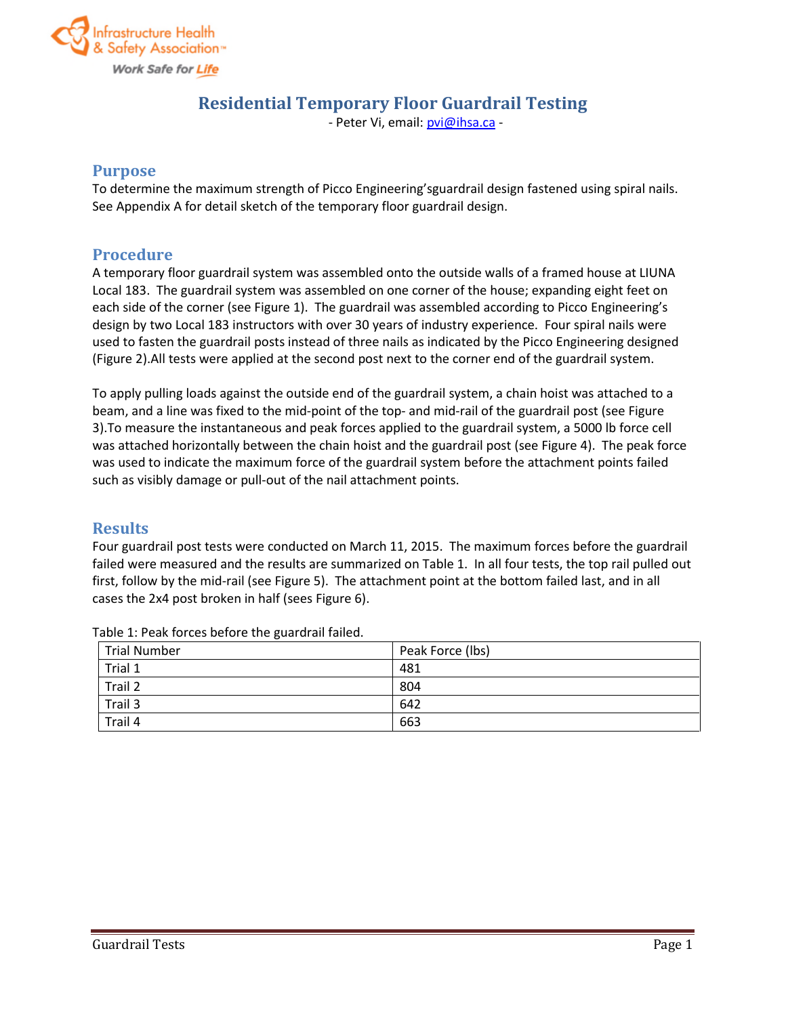

# **Residential Temporary Floor Guardrail Testing**

- Peter Vi, email: pvi@ihsa.ca -

#### **Purpose**

To determine the maximum strength of Picco Engineering'sguardrail design fastened using spiral nails. See Appendix A for detail sketch of the temporary floor guardrail design.

## **Procedure**

A temporary floor guardrail system was assembled onto the outside walls of a framed house at LIUNA Local 183. The guardrail system was assembled on one corner of the house; expanding eight feet on each side of the corner (see Figure 1). The guardrail was assembled according to Picco Engineering's design by two Local 183 instructors with over 30 years of industry experience. Four spiral nails were used to fasten the guardrail posts instead of three nails as indicated by the Picco Engineering designed (Figure 2).All tests were applied at the second post next to the corner end of the guardrail system.

To apply pulling loads against the outside end of the guardrail system, a chain hoist was attached to a beam, and a line was fixed to the mid-point of the top- and mid-rail of the guardrail post (see Figure 3).To measure the instantaneous and peak forces applied to the guardrail system, a 5000 lb force cell was attached horizontally between the chain hoist and the guardrail post (see Figure 4). The peak force was used to indicate the maximum force of the guardrail system before the attachment points failed such as visibly damage or pull-out of the nail attachment points.

## **Results**

Four guardrail post tests were conducted on March 11, 2015. The maximum forces before the guardrail failed were measured and the results are summarized on Table 1. In all four tests, the top rail pulled out first, follow by the mid-rail (see Figure 5). The attachment point at the bottom failed last, and in all cases the 2x4 post broken in half (sees Figure 6).

| <b>Trial Number</b> | Peak Force (lbs) |  |
|---------------------|------------------|--|
| Trial 1             | 481              |  |
| Trail 2             | 804              |  |
| Trail 3             | 642              |  |
| Trail 4             | 663              |  |

Table 1: Peak forces before the guardrail failed.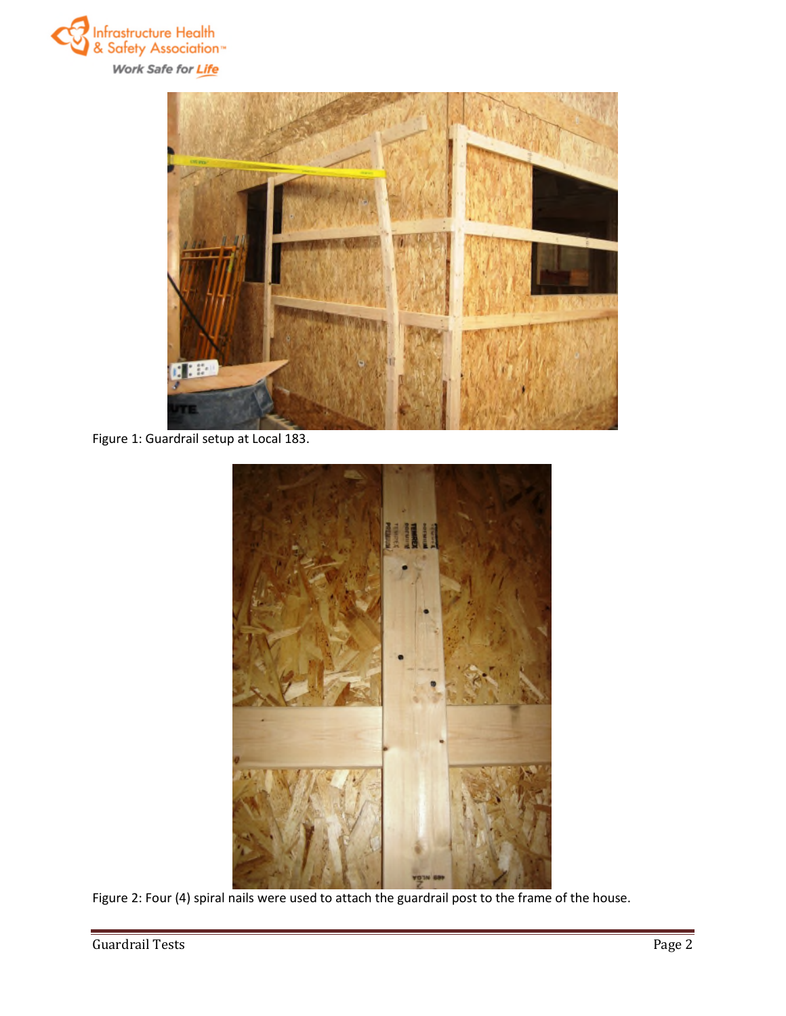



Figure 1: Guardrail setup at Local 183.



Figure 2: Four (4) spiral nails were used to attach the guardrail post to the frame of the house.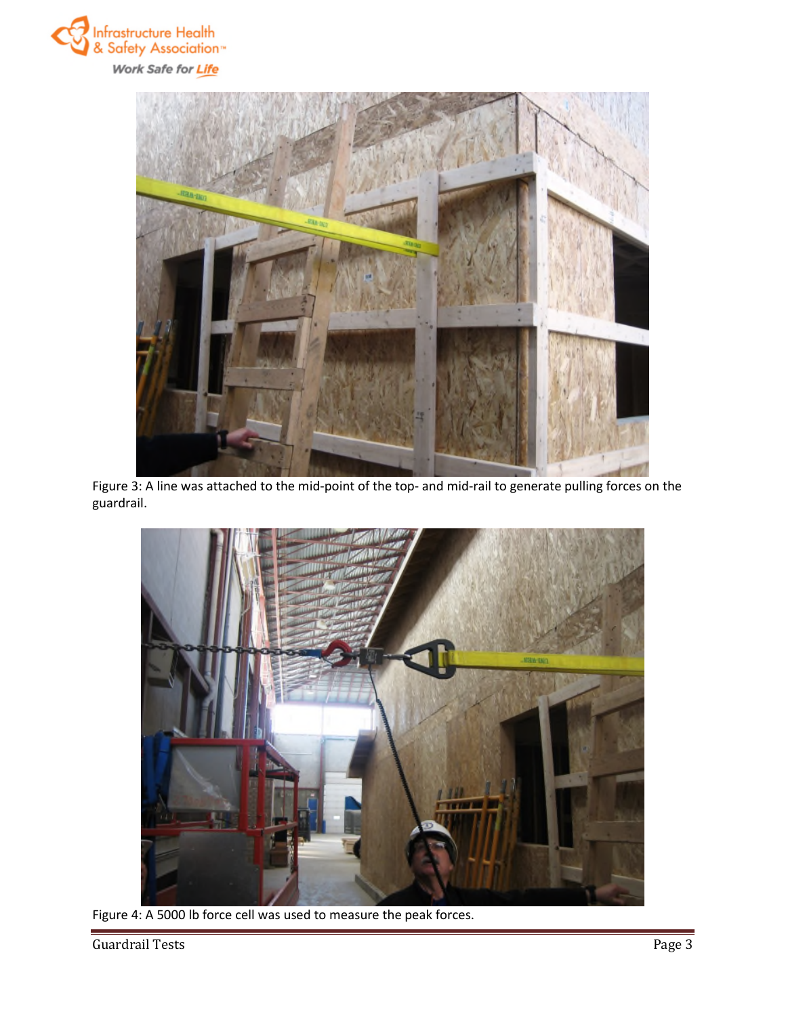



Figure 3: A line was attached to the mid-point of the top- and mid-rail to generate pulling forces on the guardrail.



Figure 4: A 5000 lb force cell was used to measure the peak forces.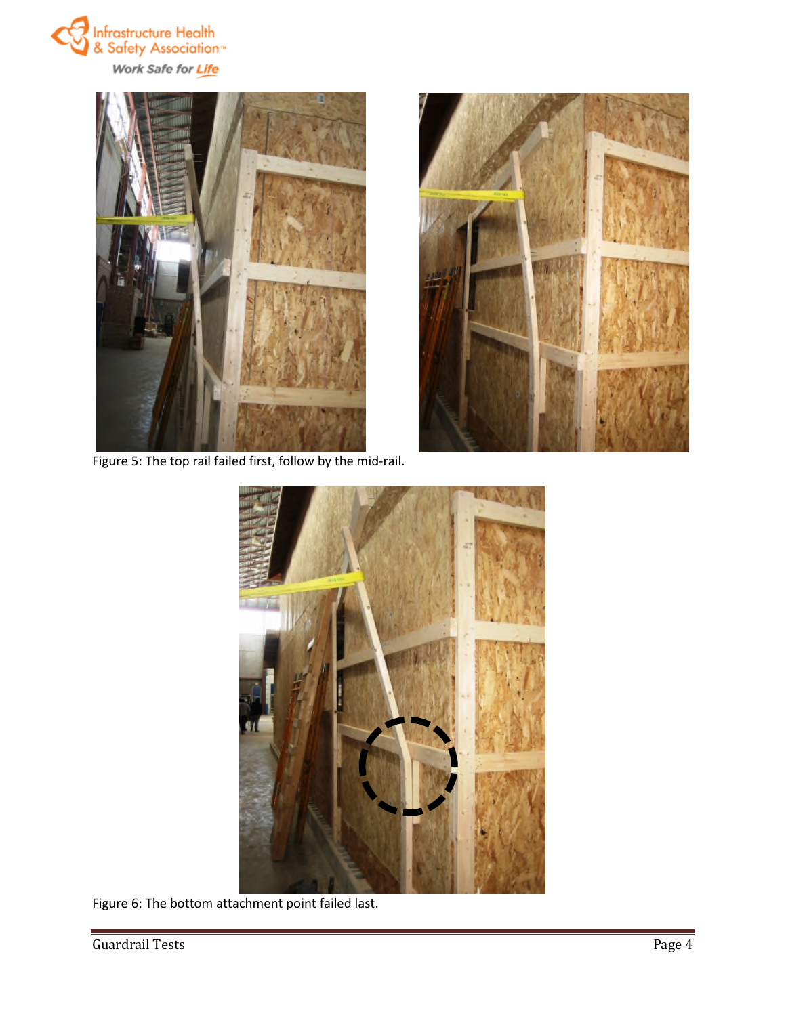



Figure 5: The top rail failed first, follow by the mid-rail.





Figure 6: The bottom attachment point failed last.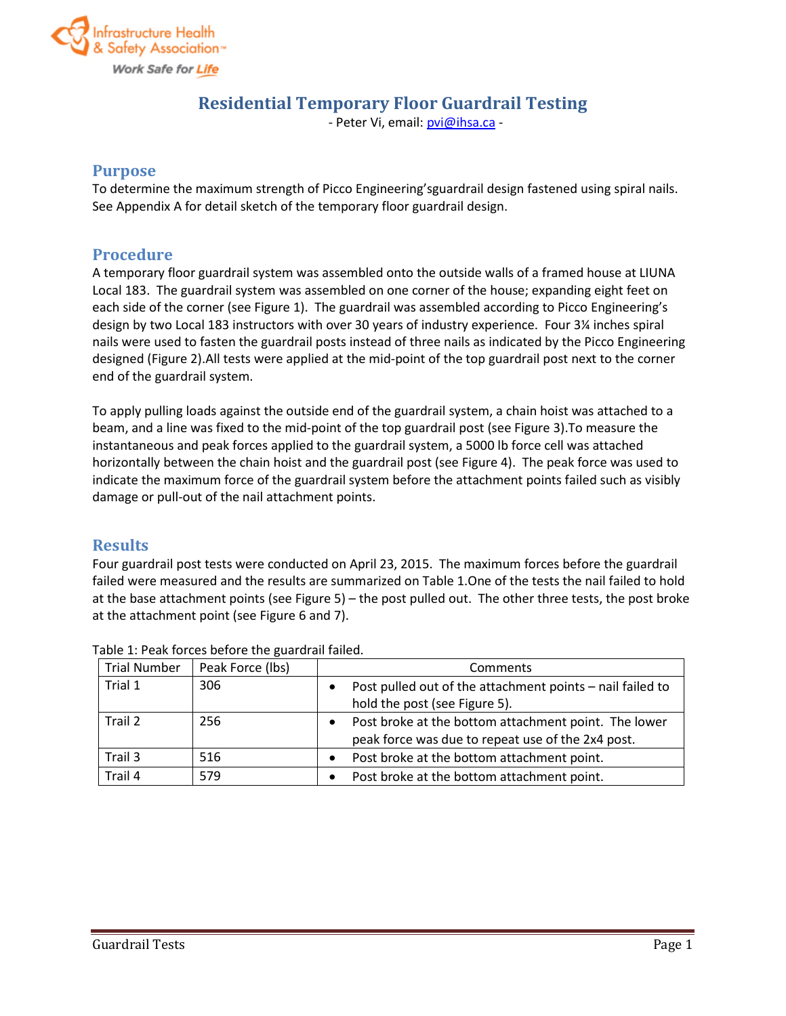

# **Residential Temporary Floor Guardrail Testing**

- Peter Vi, email: pvi@ihsa.ca -

#### **Purpose**

To determine the maximum strength of Picco Engineering'sguardrail design fastened using spiral nails. See Appendix A for detail sketch of the temporary floor guardrail design.

## **Procedure**

A temporary floor guardrail system was assembled onto the outside walls of a framed house at LIUNA Local 183. The guardrail system was assembled on one corner of the house; expanding eight feet on each side of the corner (see Figure 1). The guardrail was assembled according to Picco Engineering's design by two Local 183 instructors with over 30 years of industry experience. Four 3¼ inches spiral nails were used to fasten the guardrail posts instead of three nails as indicated by the Picco Engineering designed (Figure 2).All tests were applied at the mid-point of the top guardrail post next to the corner end of the guardrail system.

To apply pulling loads against the outside end of the guardrail system, a chain hoist was attached to a beam, and a line was fixed to the mid-point of the top guardrail post (see Figure 3).To measure the instantaneous and peak forces applied to the guardrail system, a 5000 lb force cell was attached horizontally between the chain hoist and the guardrail post (see Figure 4). The peak force was used to indicate the maximum force of the guardrail system before the attachment points failed such as visibly damage or pull-out of the nail attachment points.

## **Results**

Four guardrail post tests were conducted on April 23, 2015. The maximum forces before the guardrail failed were measured and the results are summarized on Table 1.One of the tests the nail failed to hold at the base attachment points (see Figure 5) – the post pulled out. The other three tests, the post broke at the attachment point (see Figure 6 and 7).

| <b>Trial Number</b> | Peak Force (lbs) | Comments                                                                                                  |
|---------------------|------------------|-----------------------------------------------------------------------------------------------------------|
| Trial 1             | 306              | Post pulled out of the attachment points - nail failed to<br>hold the post (see Figure 5).                |
| Trail 2             | 256              | Post broke at the bottom attachment point. The lower<br>peak force was due to repeat use of the 2x4 post. |
| Trail 3             | 516              | Post broke at the bottom attachment point.                                                                |
| Trail 4             | 579              | Post broke at the bottom attachment point.                                                                |

Table 1: Peak forces before the guardrail failed.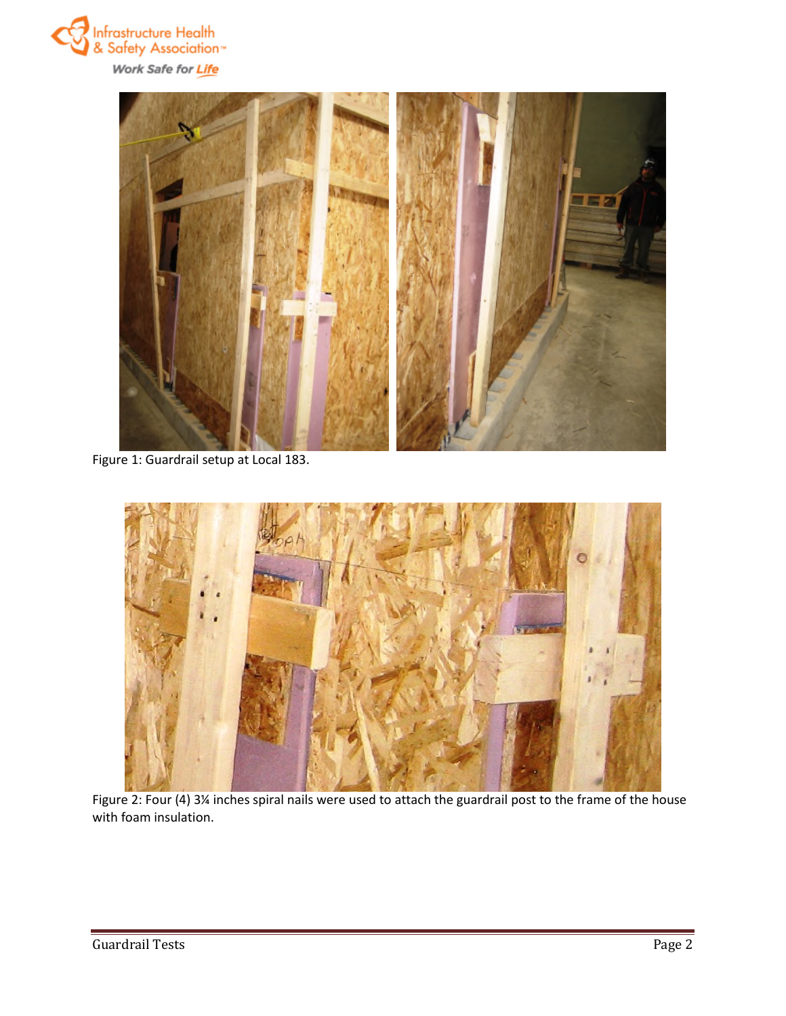



Figure 1: Guardrail setup at Local 183.



Figure 2: Four (4) 3¼ inches spiral nails were used to attach the guardrail post to the frame of the house with foam insulation.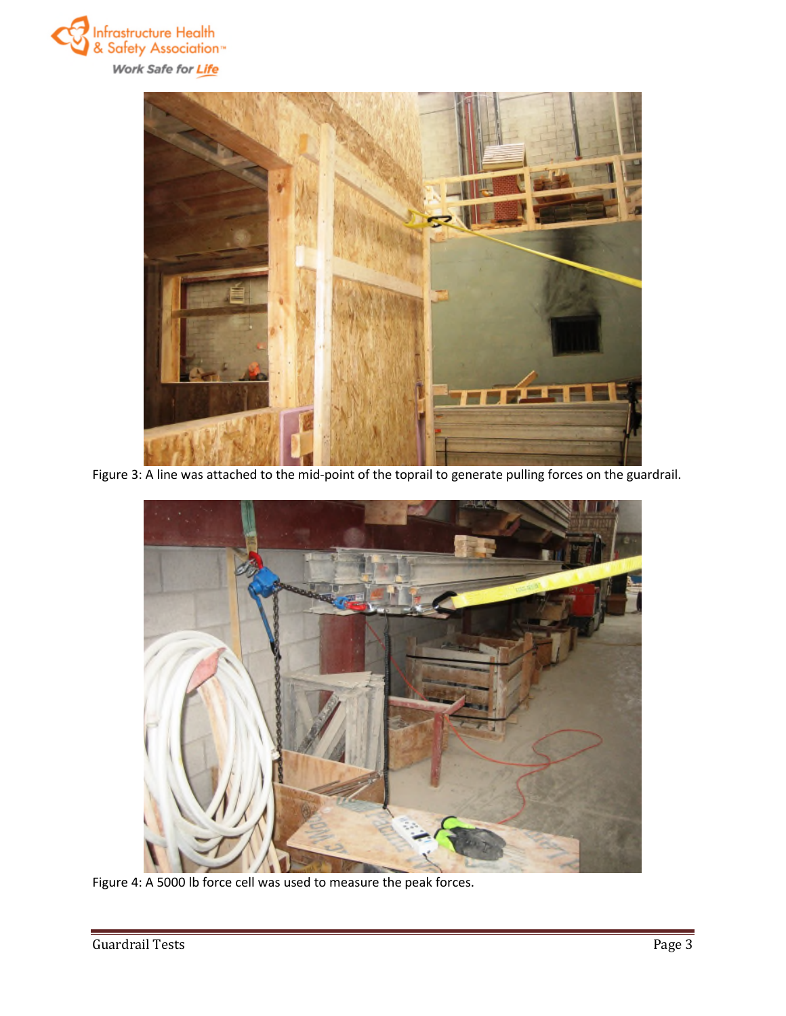



Figure 3: A line was attached to the mid-point of the toprail to generate pulling forces on the guardrail.



Figure 4: A 5000 lb force cell was used to measure the peak forces.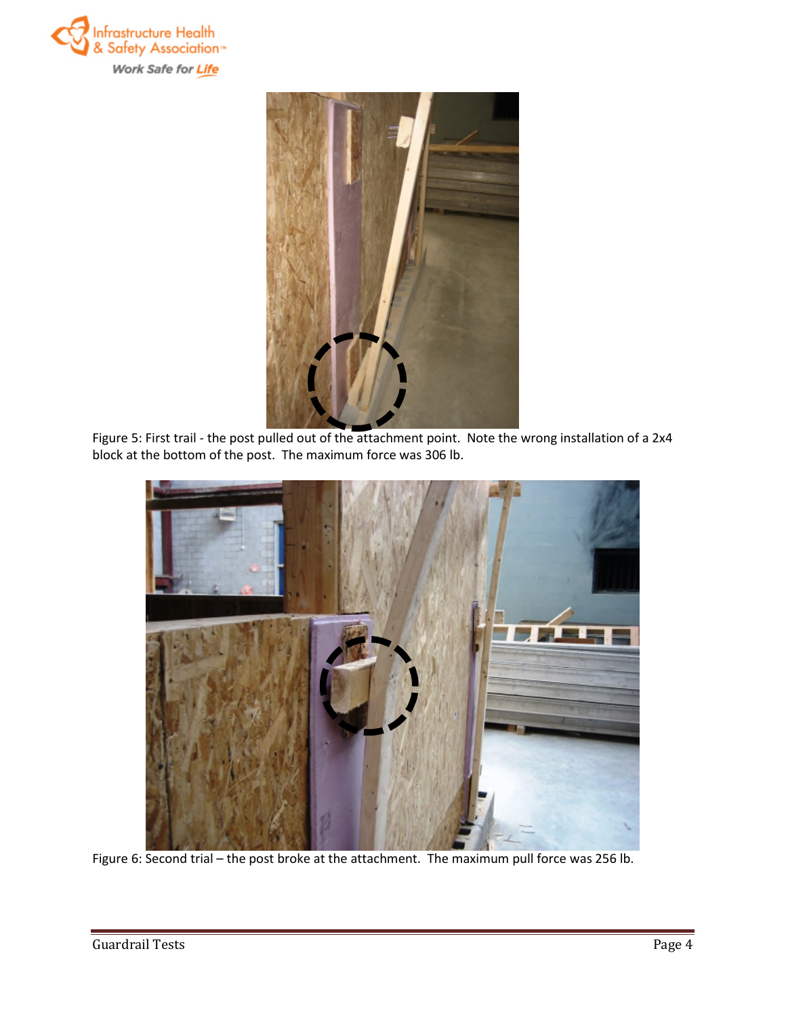



Figure 5: First trail - the post pulled out of the attachment point. Note the wrong installation of a 2x4 block at the bottom of the post. The maximum force was 306 lb.



Figure 6: Second trial – the post broke at the attachment. The maximum pull force was 256 lb.